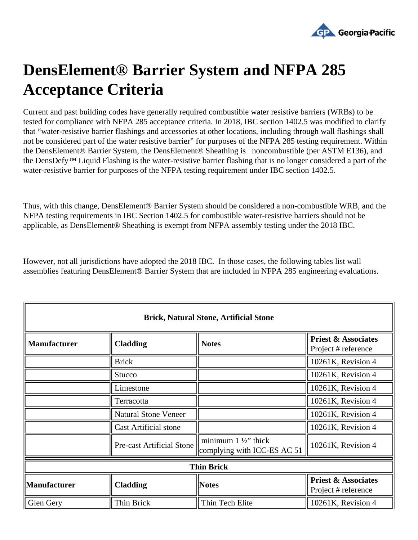

## **DensElement® Barrier System and NFPA 285 Acceptance Criteria**

Current and past building codes have generally required combustible water resistive barriers (WRBs) to be tested for compliance with NFPA 285 acceptance criteria. In 2018, IBC section 1402.5 was modified to clarify that "water-resistive barrier flashings and accessories at other locations, including through wall flashings shall not be considered part of the water resistive barrier" for purposes of the NFPA 285 testing requirement. Within the DensElement® Barrier System, the DensElement® Sheathing is noncombustible (per ASTM E136), and the DensDefy™ Liquid Flashing is the water-resistive barrier flashing that is no longer considered a part of the water-resistive barrier for purposes of the NFPA testing requirement under IBC section 1402.5.

Thus, with this change, DensElement® Barrier System should be considered a non-combustible WRB, and the NFPA testing requirements in IBC Section 1402.5 for combustible water-resistive barriers should not be applicable, as DensElement® Sheathing is exempt from NFPA assembly testing under the 2018 IBC.

However, not all jurisdictions have adopted the 2018 IBC. In those cases, the following tables list wall assemblies featuring DensElement® Barrier System that are included in NFPA 285 engineering evaluations.

| <b>Brick, Natural Stone, Artificial Stone</b> |                                  |                                                             |                                                       |  |  |
|-----------------------------------------------|----------------------------------|-------------------------------------------------------------|-------------------------------------------------------|--|--|
| <b>Manufacturer</b>                           | <b>Cladding</b>                  | <b>Notes</b>                                                | <b>Priest &amp; Associates</b><br>Project # reference |  |  |
|                                               | <b>Brick</b>                     |                                                             | 10261K, Revision 4                                    |  |  |
|                                               | Stucco                           |                                                             | 10261K, Revision 4                                    |  |  |
|                                               | Limestone                        |                                                             | 10261K, Revision 4                                    |  |  |
|                                               | Terracotta                       |                                                             | 10261K, Revision 4                                    |  |  |
|                                               | <b>Natural Stone Veneer</b>      |                                                             | 10261K, Revision 4                                    |  |  |
|                                               | <b>Cast Artificial stone</b>     |                                                             | 10261K, Revision 4                                    |  |  |
|                                               | <b>Pre-cast Artificial Stone</b> | minimum $1\frac{1}{2}$ thick<br>complying with ICC-ES AC 51 | $10261K$ , Revision 4                                 |  |  |
| <b>Thin Brick</b>                             |                                  |                                                             |                                                       |  |  |
| <b>Manufacturer</b>                           | <b>Cladding</b>                  | <b>Notes</b>                                                | <b>Priest &amp; Associates</b><br>Project # reference |  |  |
| Glen Gery                                     | Thin Brick                       | Thin Tech Elite                                             | 10261K, Revision 4                                    |  |  |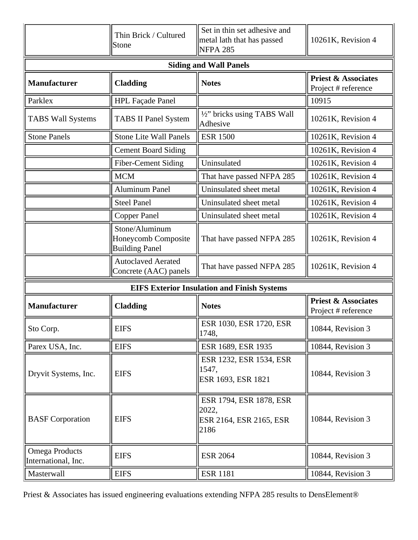|                                              | Thin Brick / Cultured<br>Stone                                 | Set in thin set adhesive and<br>metal lath that has passed<br><b>NFPA 285</b> | 10261K, Revision 4                                    |  |
|----------------------------------------------|----------------------------------------------------------------|-------------------------------------------------------------------------------|-------------------------------------------------------|--|
| <b>Siding and Wall Panels</b>                |                                                                |                                                                               |                                                       |  |
| <b>Manufacturer</b>                          | <b>Cladding</b>                                                | <b>Notes</b>                                                                  | <b>Priest &amp; Associates</b><br>Project # reference |  |
| Parklex                                      | HPL Façade Panel                                               |                                                                               | 10915                                                 |  |
| <b>TABS Wall Systems</b>                     | <b>TABS II Panel System</b>                                    | 1/2" bricks using TABS Wall<br>Adhesive                                       | 10261K, Revision 4                                    |  |
| <b>Stone Panels</b>                          | <b>Stone Lite Wall Panels</b>                                  | <b>ESR 1500</b>                                                               | 10261K, Revision 4                                    |  |
|                                              | <b>Cement Board Siding</b>                                     |                                                                               | 10261K, Revision 4                                    |  |
|                                              | Fiber-Cement Siding                                            | Uninsulated                                                                   | 10261K, Revision 4                                    |  |
|                                              | <b>MCM</b>                                                     | That have passed NFPA 285                                                     | 10261K, Revision 4                                    |  |
|                                              | <b>Aluminum Panel</b>                                          | Uninsulated sheet metal                                                       | 10261K, Revision 4                                    |  |
|                                              | <b>Steel Panel</b>                                             | Uninsulated sheet metal                                                       | 10261K, Revision 4                                    |  |
|                                              | <b>Copper Panel</b>                                            | Uninsulated sheet metal                                                       | 10261K, Revision 4                                    |  |
|                                              | Stone/Aluminum<br>Honeycomb Composite<br><b>Building Panel</b> | That have passed NFPA 285                                                     | 10261K, Revision 4                                    |  |
|                                              | <b>Autoclaved Aerated</b><br>Concrete (AAC) panels             | That have passed NFPA 285                                                     | 10261K, Revision 4                                    |  |
|                                              |                                                                | <b>EIFS Exterior Insulation and Finish Systems</b>                            |                                                       |  |
| <b>Manufacturer</b>                          | <b>Cladding</b>                                                | <b>Notes</b>                                                                  | <b>Priest &amp; Associates</b><br>Project # reference |  |
| Sto Corp.                                    | <b>EIFS</b>                                                    | ESR 1030, ESR 1720, ESR<br>1748,                                              | 10844, Revision 3                                     |  |
| Parex USA, Inc.                              | <b>EIFS</b>                                                    | ESR 1689, ESR 1935                                                            | 10844, Revision 3                                     |  |
| Dryvit Systems, Inc.                         | <b>EIFS</b>                                                    | ESR 1232, ESR 1534, ESR<br>1547,<br>ESR 1693, ESR 1821                        | 10844, Revision 3                                     |  |
| <b>BASF</b> Corporation                      | <b>EIFS</b>                                                    | ESR 1794, ESR 1878, ESR<br>2022,<br>ESR 2164, ESR 2165, ESR<br>2186           | 10844, Revision 3                                     |  |
| <b>Omega Products</b><br>International, Inc. | <b>EIFS</b>                                                    | <b>ESR 2064</b>                                                               | 10844, Revision 3                                     |  |
| Masterwall                                   | <b>EIFS</b>                                                    | <b>ESR 1181</b>                                                               | 10844, Revision 3                                     |  |

Priest & Associates has issued engineering evaluations extending NFPA 285 results to DensElement®